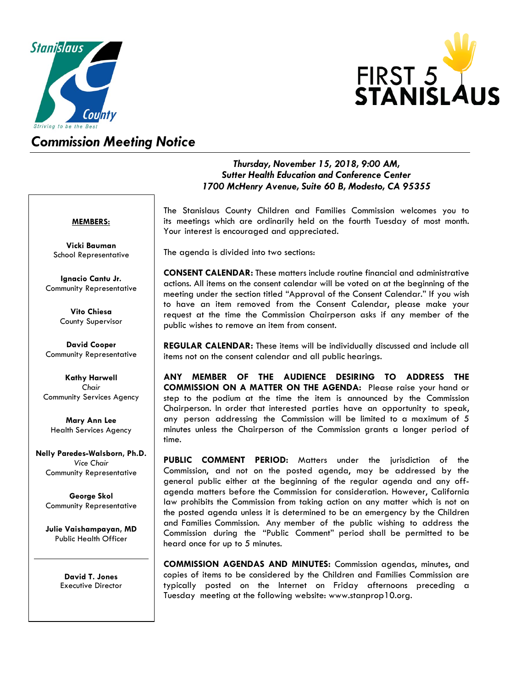



## *Commission Meeting Notice*

### *Thursday, November 15, 2018, 9:00 AM, Sutter Health Education and Conference Center 1700 McHenry Avenue, Suite 60 B, Modesto, CA 95355*

#### **MEMBERS:**

**Vicki Bauman** School Representative

**Ignacio Cantu Jr.** Community Representative

> **Vito Chiesa** County Supervisor

**David Cooper** Community Representative

**Kathy Harwell** *Chair* Community Services Agency

**Mary Ann Lee** Health Services Agency

**Nelly Paredes-Walsborn, Ph.D.** *Vice Chair* Community Representative

**George Skol** Community Representative

**Julie Vaishampayan, MD** Public Health Officer

> **David T. Jones** Executive Director

The Stanislaus County Children and Families Commission welcomes you to its meetings which are ordinarily held on the fourth Tuesday of most month. Your interest is encouraged and appreciated.

The agenda is divided into two sections:

**CONSENT CALENDAR:** These matters include routine financial and administrative actions. All items on the consent calendar will be voted on at the beginning of the meeting under the section titled "Approval of the Consent Calendar." If you wish to have an item removed from the Consent Calendar, please make your request at the time the Commission Chairperson asks if any member of the public wishes to remove an item from consent.

**REGULAR CALENDAR:** These items will be individually discussed and include all items not on the consent calendar and all public hearings.

**ANY MEMBER OF THE AUDIENCE DESIRING TO ADDRESS THE COMMISSION ON A MATTER ON THE AGENDA:** Please raise your hand or step to the podium at the time the item is announced by the Commission Chairperson. In order that interested parties have an opportunity to speak, any person addressing the Commission will be limited to a maximum of 5 minutes unless the Chairperson of the Commission grants a longer period of time.

**PUBLIC COMMENT PERIOD:** Matters under the jurisdiction of the Commission, and not on the posted agenda, may be addressed by the general public either at the beginning of the regular agenda and any offagenda matters before the Commission for consideration. However, California law prohibits the Commission from taking action on any matter which is not on the posted agenda unless it is determined to be an emergency by the Children and Families Commission. Any member of the public wishing to address the Commission during the "Public Comment" period shall be permitted to be heard once for up to 5 minutes.

**COMMISSION AGENDAS AND MINUTES:** Commission agendas, minutes, and copies of items to be considered by the Children and Families Commission are typically posted on the Internet on Friday afternoons preceding a Tuesday meeting at the following website[: www.stanprop10.org.](http://www.stanprop10.org/)